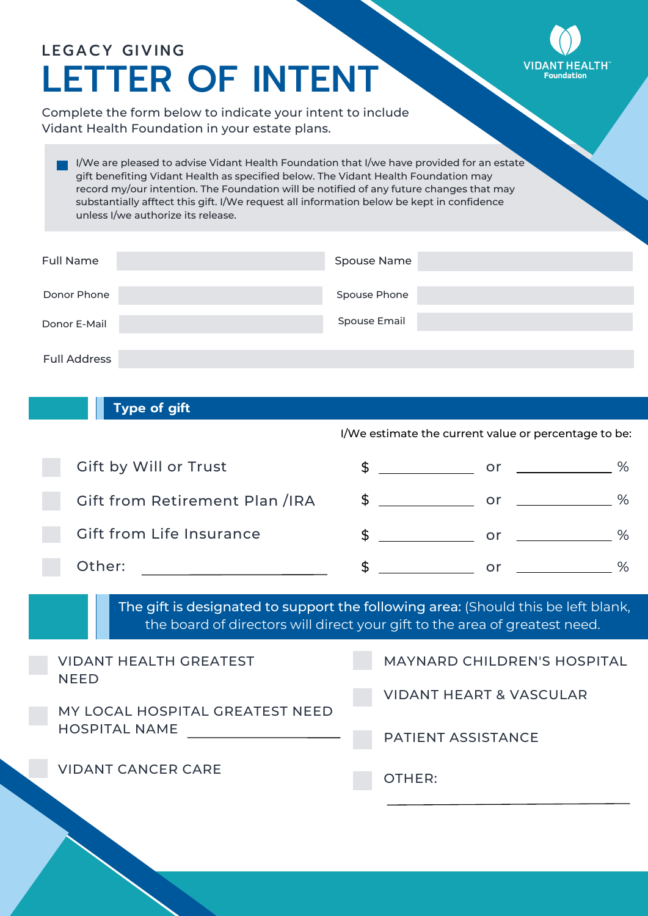## LEGACY GIVING **VIDA** LETTER OF INTENT Complete the form below to indicate your intent to include Vidant Health Foundation in your estate plans.

I/We are pleased to advise Vidant Health Foundation that I/we have provided for an estate gift benefiting Vidant Health as specified below. The Vidant Health Foundation may record my/our intention. The Foundation will be notified of any future changes that may substantially afftect this gift. I/We request all information below be kept in confidence unless I/we authorize its release.

| <b>Full Name</b>    | Spouse Name         |
|---------------------|---------------------|
| Donor Phone         | Spouse Phone        |
| Donor E-Mail        | <b>Spouse Email</b> |
| <b>Full Address</b> |                     |

## **Type of gift**

I/We estimate the current value or percentage to be:

| Gift by Will or Trust           | or |   |
|---------------------------------|----|---|
| Gift from Retirement Plan /IRA  | or | ℅ |
| <b>Gift from Life Insurance</b> | or |   |
| Other:                          | Ωľ |   |

The gift is designated to support the following area: (Should this be left blank, the board of directors will direct your gift to the area of greatest need.

| <b>VIDANT HEALTH GREATEST</b><br><b>NFFD</b> | <b>MAYNARD CHILDREN'S HOSPITAL</b> |
|----------------------------------------------|------------------------------------|
| MY LOCAL HOSPITAL GREATEST NEED              | <b>VIDANT HEART &amp; VASCULAR</b> |
| <b>HOSPITAL NAME</b>                         | <b>PATIENT ASSISTANCE</b>          |
| <b>VIDANT CANCER CARE</b>                    | OTHER:                             |